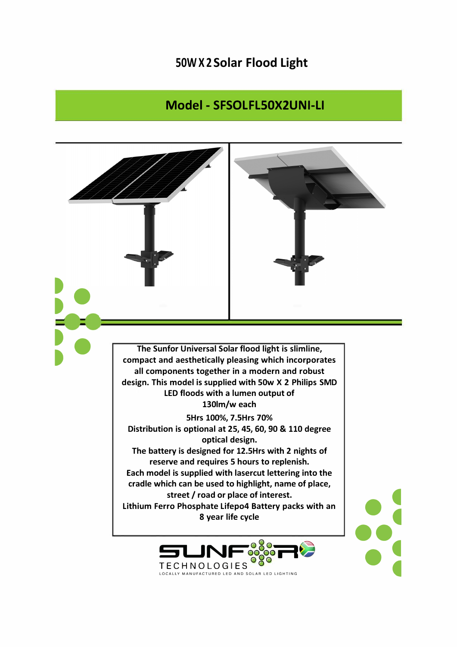## 50WX2Solar Flood Light

## Model - SFSOLFL50X2UNI-LI